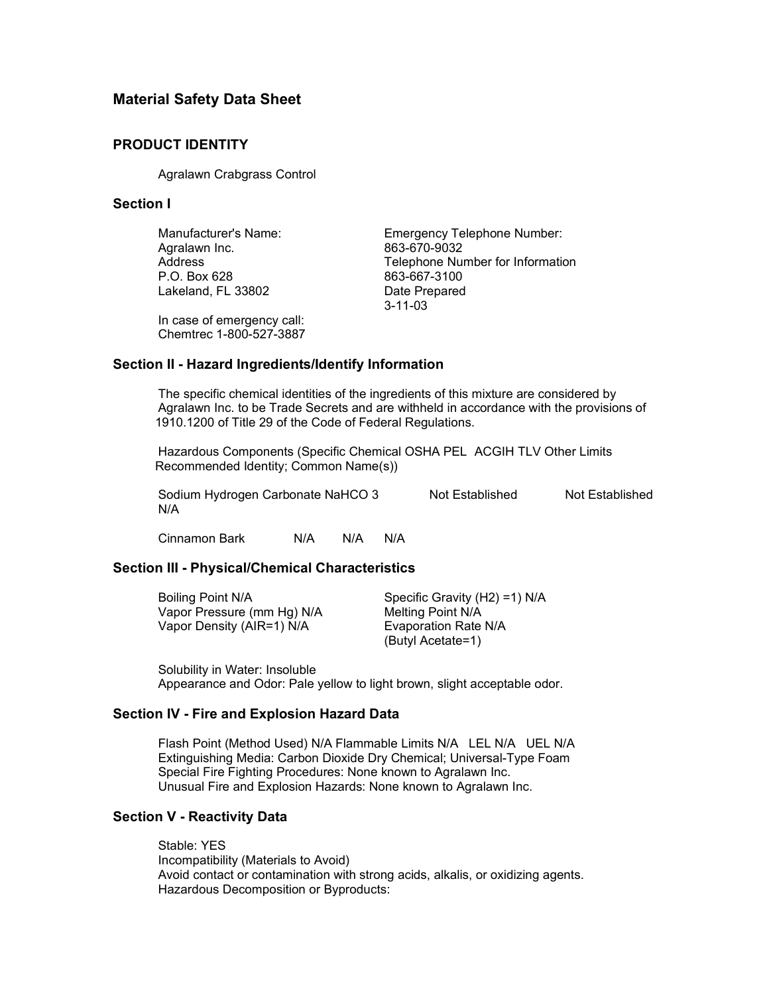# **Material Safety Data Sheet**

### **PRODUCT IDENTITY**

Agralawn Crabgrass Control

### **Section I**

Agralawn Inc. 663-670-9032 Lakeland, FL 33802 Date Prepared

Manufacturer's Name: Emergency Telephone Number: Address Telephone Number for Information<br>
P.O. Box 628 663-667-3100 863-667-3100 3-11-03

In case of emergency call: Chemtrec 1-800-527-3887

#### **Section II - Hazard Ingredients/Identify Information**

The specific chemical identities of the ingredients of this mixture are considered by Agralawn Inc. to be Trade Secrets and are withheld in accordance with the provisions of 1910.1200 of Title 29 of the Code of Federal Regulations.

Hazardous Components (Specific Chemical OSHA PEL ACGIH TLV Other Limits Recommended Identity; Common Name(s))

Sodium Hydrogen Carbonate NaHCO 3 Not Established Not Established N/A

Cinnamon Bark N/A N/A N/A

## **Section III - Physical/Chemical Characteristics**

| Boiling Point N/A          | Specific Gravity $(H2) = 1$ ) N/A |
|----------------------------|-----------------------------------|
| Vapor Pressure (mm Hg) N/A | Melting Point N/A                 |
| Vapor Density (AIR=1) N/A  | Evaporation Rate N/A              |
|                            | (Butyl Acetate=1)                 |

Solubility in Water: Insoluble Appearance and Odor: Pale yellow to light brown, slight acceptable odor.

## **Section IV - Fire and Explosion Hazard Data**

Flash Point (Method Used) N/A Flammable Limits N/A LEL N/A UEL N/A Extinguishing Media: Carbon Dioxide Dry Chemical; Universal-Type Foam Special Fire Fighting Procedures: None known to Agralawn Inc. Unusual Fire and Explosion Hazards: None known to Agralawn Inc.

## **Section V - Reactivity Data**

Stable: YES Incompatibility (Materials to Avoid) Avoid contact or contamination with strong acids, alkalis, or oxidizing agents. Hazardous Decomposition or Byproducts: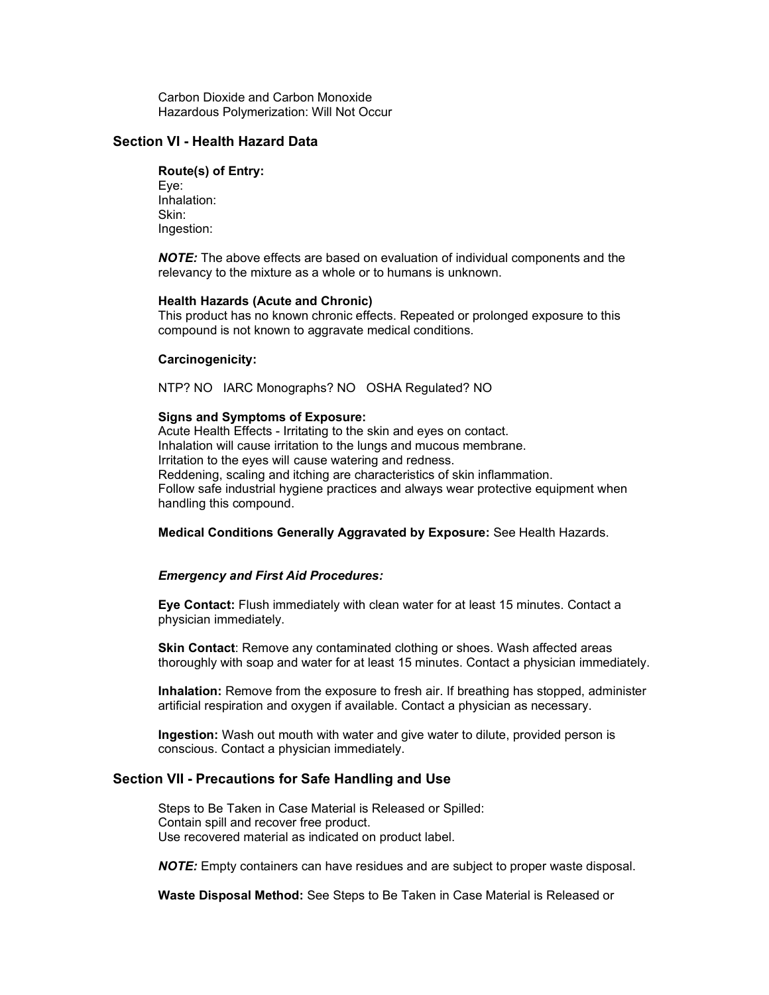Carbon Dioxide and Carbon Monoxide Hazardous Polymerization: Will Not Occur

## **Section VI - Health Hazard Data**

#### **Route(s) of Entry:**

Eye: Inhalation: Skin: Ingestion:

*NOTE:* The above effects are based on evaluation of individual components and the relevancy to the mixture as a whole or to humans is unknown.

#### **Health Hazards (Acute and Chronic)**

This product has no known chronic effects. Repeated or prolonged exposure to this compound is not known to aggravate medical conditions.

#### **Carcinogenicity:**

NTP? NO IARC Monographs? NO OSHA Regulated? NO

#### **Signs and Symptoms of Exposure:**

Acute Health Effects - Irritating to the skin and eyes on contact. Inhalation will cause irritation to the lungs and mucous membrane. Irritation to the eyes will cause watering and redness. Reddening, scaling and itching are characteristics of skin inflammation. Follow safe industrial hygiene practices and always wear protective equipment when handling this compound.

**Medical Conditions Generally Aggravated by Exposure:** See Health Hazards.

#### *Emergency and First Aid Procedures:*

**Eye Contact:** Flush immediately with clean water for at least 15 minutes. Contact a physician immediately.

**Skin Contact**: Remove any contaminated clothing or shoes. Wash affected areas thoroughly with soap and water for at least 15 minutes. Contact a physician immediately.

**Inhalation:** Remove from the exposure to fresh air. If breathing has stopped, administer artificial respiration and oxygen if available. Contact a physician as necessary.

**Ingestion:** Wash out mouth with water and give water to dilute, provided person is conscious. Contact a physician immediately.

#### **Section VII - Precautions for Safe Handling and Use**

Steps to Be Taken in Case Material is Released or Spilled: Contain spill and recover free product. Use recovered material as indicated on product label.

*NOTE:* Empty containers can have residues and are subject to proper waste disposal.

**Waste Disposal Method:** See Steps to Be Taken in Case Material is Released or